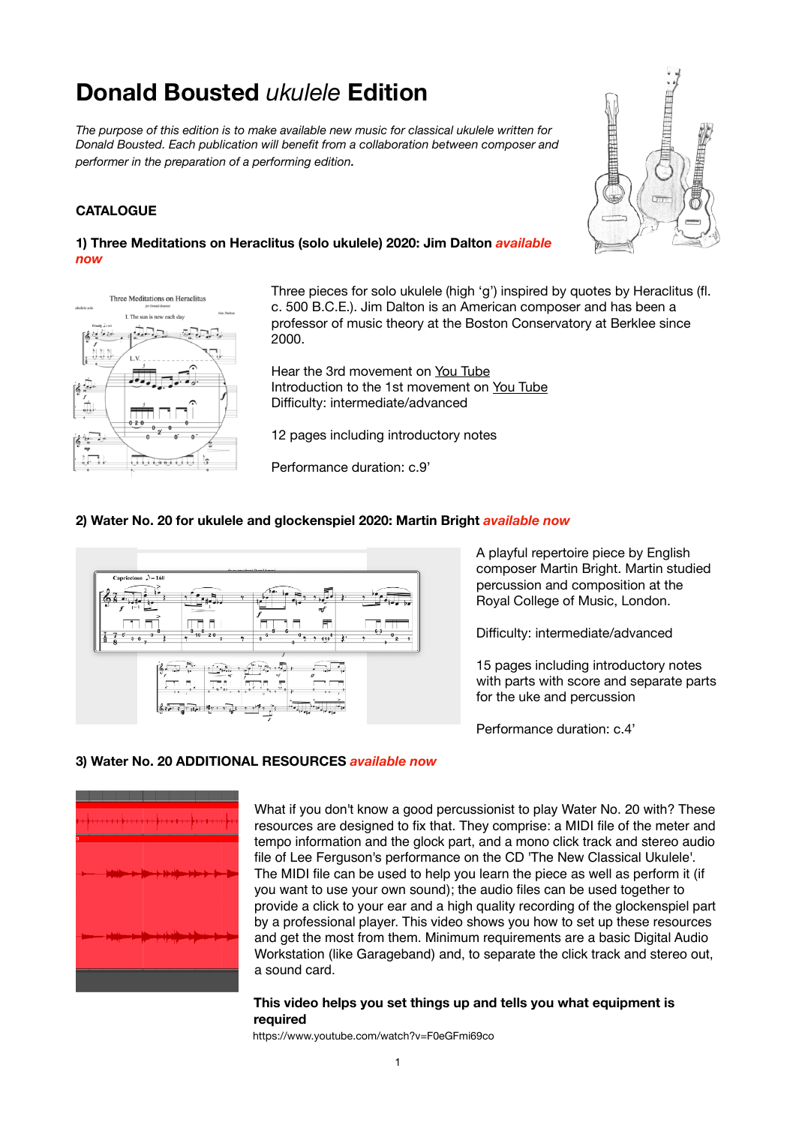# **Donald Bousted** *ukulele* **Edition**

*The purpose of this edition is to make available new music for classical ukulele written for Donald Bousted. Each publication will benefit from a collaboration between composer and performer in the preparation of a performing edition.* 

## **CATALOGUE**







Three pieces for solo ukulele (high 'g') inspired by quotes by Heraclitus (fl. c. 500 B.C.E.). Jim Dalton is an American composer and has been a professor of music theory at the Boston Conservatory at Berklee since 2000.

Hear the 3rd movement on [You Tube](https://youtu.be/_mGJpL2uXHM) Introduction to the 1st movement on [You Tube](https://youtu.be/kiK_Kvf7n6g) Difficulty: intermediate/advanced

12 pages including introductory notes

Performance duration: c.9'

## **2) Water No. 20 for ukulele and glockenspiel 2020: Martin Bright** *available now*



A playful repertoire piece by English composer Martin Bright. Martin studied percussion and composition at the Royal College of Music, London.

Difficulty: intermediate/advanced

15 pages including introductory notes with parts with score and separate parts for the uke and percussion

Performance duration: c.4'

## **3) Water No. 20 ADDITIONAL RESOURCES** *available now*



What if you don't know a good percussionist to play Water No. 20 with? These resources are designed to fix that. They comprise: a MIDI file of the meter and tempo information and the glock part, and a mono click track and stereo audio file of Lee Ferguson's performance on the CD 'The New Classical Ukulele'. The MIDI file can be used to help you learn the piece as well as perform it (if you want to use your own sound); the audio files can be used together to provide a click to your ear and a high quality recording of the glockenspiel part by a professional player. This video shows you how to set up these resources and get the most from them. Minimum requirements are a basic Digital Audio Workstation (like Garageband) and, to separate the click track and stereo out, a sound card.

#### **This video helps you set things up and tells you what equipment is required**

 https://www.youtube.com/watch?v=F0eGFmi69co